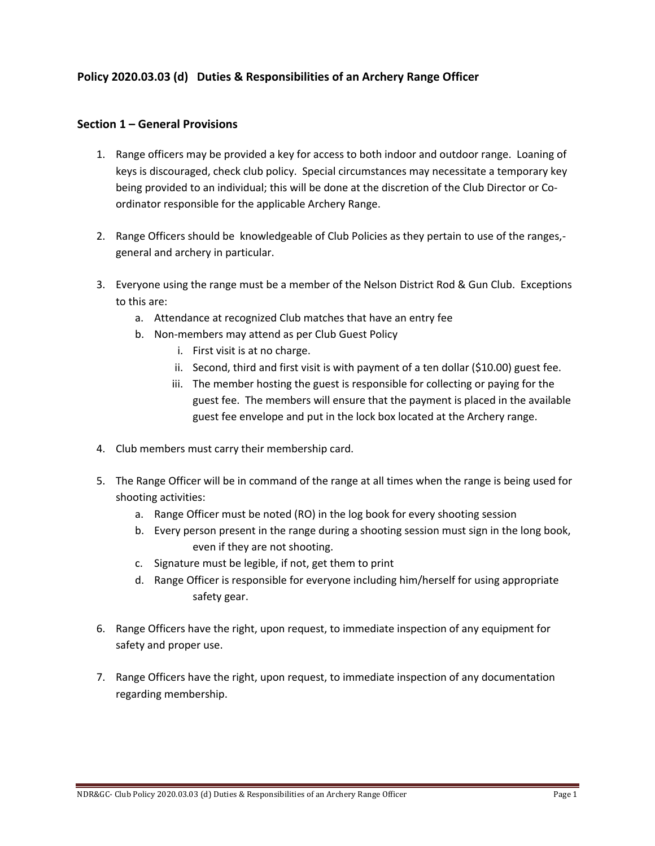## **Policy 2020.03.03 (d) Duties & Responsibilities of an Archery Range Officer**

## **Section 1 – General Provisions**

- 1. Range officers may be provided a key for access to both indoor and outdoor range. Loaning of keys is discouraged, check club policy. Special circumstances may necessitate a temporary key being provided to an individual; this will be done at the discretion of the Club Director or Coordinator responsible for the applicable Archery Range.
- 2. Range Officers should be knowledgeable of Club Policies as they pertain to use of the ranges, general and archery in particular.
- 3. Everyone using the range must be a member of the Nelson District Rod & Gun Club. Exceptions to this are:
	- a. Attendance at recognized Club matches that have an entry fee
	- b. Non-members may attend as per Club Guest Policy
		- i. First visit is at no charge.
		- ii. Second, third and first visit is with payment of a ten dollar (\$10.00) guest fee.
		- iii. The member hosting the guest is responsible for collecting or paying for the guest fee. The members will ensure that the payment is placed in the available guest fee envelope and put in the lock box located at the Archery range.
- 4. Club members must carry their membership card.
- 5. The Range Officer will be in command of the range at all times when the range is being used for shooting activities:
	- a. Range Officer must be noted (RO) in the log book for every shooting session
	- b. Every person present in the range during a shooting session must sign in the long book, even if they are not shooting.
	- c. Signature must be legible, if not, get them to print
	- d. Range Officer is responsible for everyone including him/herself for using appropriate safety gear.
- 6. Range Officers have the right, upon request, to immediate inspection of any equipment for safety and proper use.
- 7. Range Officers have the right, upon request, to immediate inspection of any documentation regarding membership.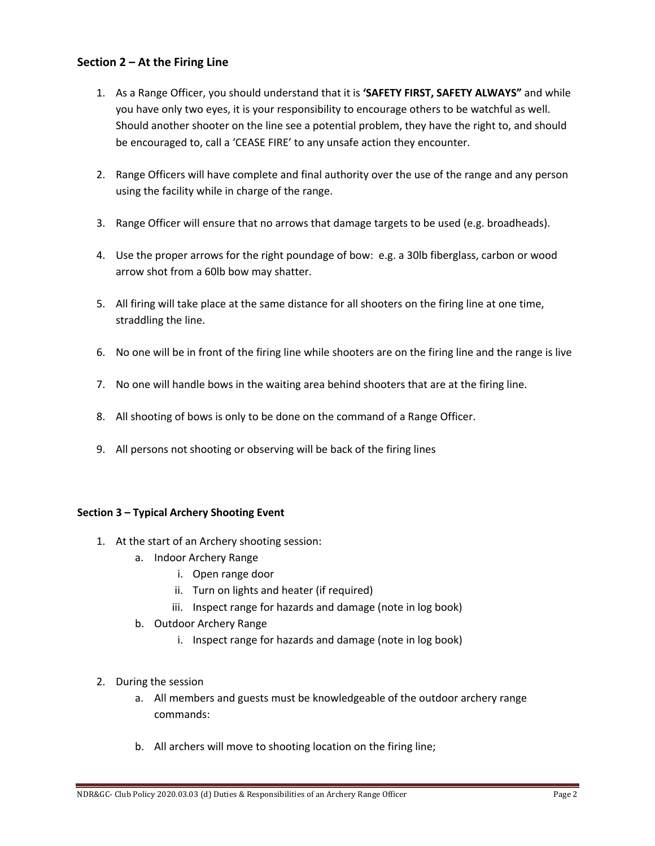## **Section 2 – At the Firing Line**

- 1. As a Range Officer, you should understand that it is **'SAFETY FIRST, SAFETY ALWAYS"** and while you have only two eyes, it is your responsibility to encourage others to be watchful as well. Should another shooter on the line see a potential problem, they have the right to, and should be encouraged to, call a 'CEASE FIRE' to any unsafe action they encounter.
- 2. Range Officers will have complete and final authority over the use of the range and any person using the facility while in charge of the range.
- 3. Range Officer will ensure that no arrows that damage targets to be used (e.g. broadheads).
- 4. Use the proper arrows for the right poundage of bow: e.g. a 30lb fiberglass, carbon or wood arrow shot from a 60lb bow may shatter.
- 5. All firing will take place at the same distance for all shooters on the firing line at one time, straddling the line.
- 6. No one will be in front of the firing line while shooters are on the firing line and the range is live
- 7. No one will handle bows in the waiting area behind shooters that are at the firing line.
- 8. All shooting of bows is only to be done on the command of a Range Officer.
- 9. All persons not shooting or observing will be back of the firing lines

## **Section 3 – Typical Archery Shooting Event**

- 1. At the start of an Archery shooting session:
	- a. Indoor Archery Range
		- i. Open range door
		- ii. Turn on lights and heater (if required)
		- iii. Inspect range for hazards and damage (note in log book)
	- b. Outdoor Archery Range
		- i. Inspect range for hazards and damage (note in log book)
- 2. During the session
	- a. All members and guests must be knowledgeable of the outdoor archery range commands:
	- b. All archers will move to shooting location on the firing line;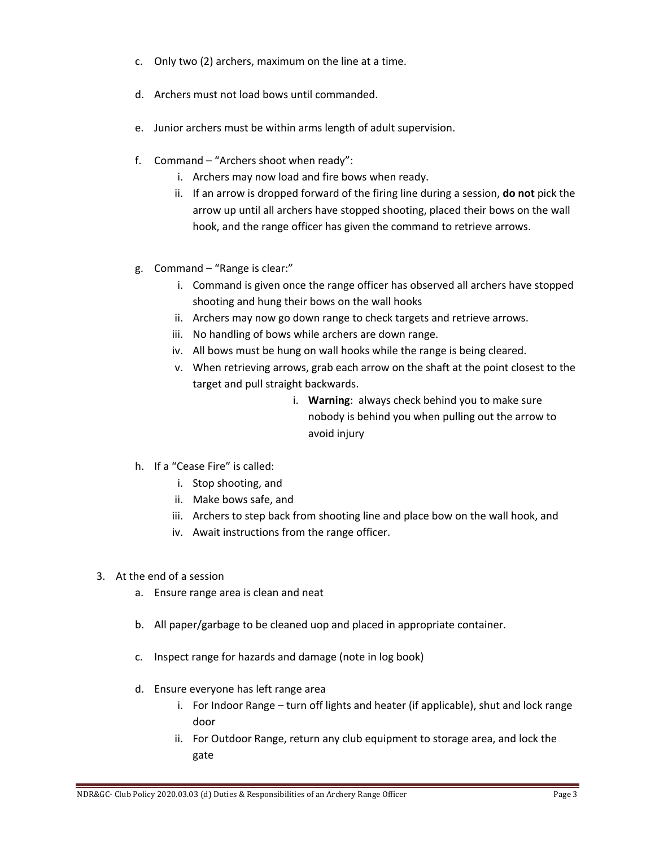- c. Only two (2) archers, maximum on the line at a time.
- d. Archers must not load bows until commanded.
- e. Junior archers must be within arms length of adult supervision.
- f. Command "Archers shoot when ready":
	- i. Archers may now load and fire bows when ready.
	- ii. If an arrow is dropped forward of the firing line during a session, **do not** pick the arrow up until all archers have stopped shooting, placed their bows on the wall hook, and the range officer has given the command to retrieve arrows.
- g. Command "Range is clear:"
	- i. Command is given once the range officer has observed all archers have stopped shooting and hung their bows on the wall hooks
	- ii. Archers may now go down range to check targets and retrieve arrows.
	- iii. No handling of bows while archers are down range.
	- iv. All bows must be hung on wall hooks while the range is being cleared.
	- v. When retrieving arrows, grab each arrow on the shaft at the point closest to the target and pull straight backwards.
		- i. **Warning**: always check behind you to make sure nobody is behind you when pulling out the arrow to avoid injury
- h. If a "Cease Fire" is called:
	- i. Stop shooting, and
	- ii. Make bows safe, and
	- iii. Archers to step back from shooting line and place bow on the wall hook, and
	- iv. Await instructions from the range officer.
- 3. At the end of a session
	- a. Ensure range area is clean and neat
	- b. All paper/garbage to be cleaned uop and placed in appropriate container.
	- c. Inspect range for hazards and damage (note in log book)
	- d. Ensure everyone has left range area
		- i. For Indoor Range turn off lights and heater (if applicable), shut and lock range door
		- ii. For Outdoor Range, return any club equipment to storage area, and lock the gate